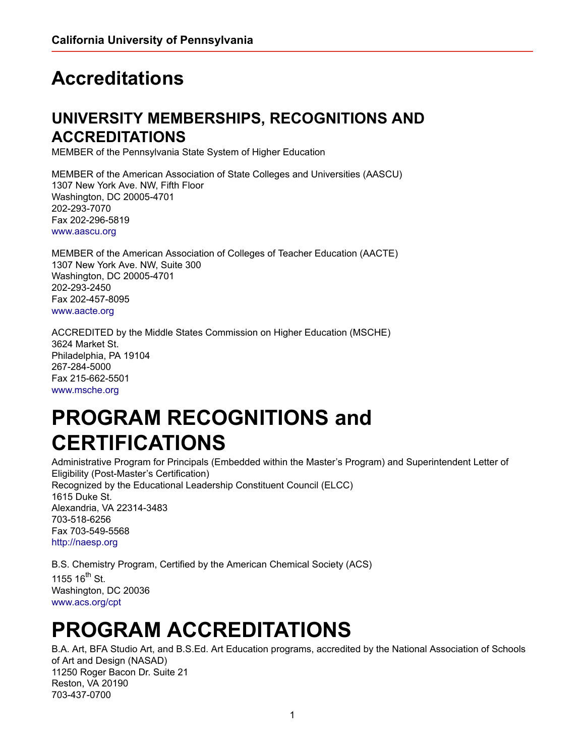## **Accreditations**

## **UNIVERSITY MEMBERSHIPS, RECOGNITIONS AND ACCREDITATIONS**

MEMBER of the Pennsylvania State System of Higher Education

MEMBER of the American Association of State Colleges and Universities (AASCU) 1307 New York Ave. NW, Fifth Floor Washington, DC 20005-4701 202-293-7070 Fax 202-296-5819 [www.aascu.org](http://www.aascu.org)

MEMBER of the American Association of Colleges of Teacher Education (AACTE) 1307 New York Ave. NW, Suite 300 Washington, DC 20005-4701 202-293-2450 Fax 202-457-8095 [www.aacte.org](http://www.aacte.org)

ACCREDITED by the Middle States Commission on Higher Education (MSCHE) 3624 Market St. Philadelphia, PA 19104 267-284-5000 Fax 215-662-5501 [www.msche.org](http://www.msche.org)

## **PROGRAM RECOGNITIONS and CERTIFICATIONS**

Administrative Program for Principals (Embedded within the Master's Program) and Superintendent Letter of Eligibility (Post-Master's Certification) Recognized by the Educational Leadership Constituent Council (ELCC) 1615 Duke St. Alexandria, VA 22314-3483 703-518-6256 Fax 703-549-5568 [http://naesp.org](https://nasad.arts-accredit.org/)

B.S. Chemistry Program, Certified by the American Chemical Society (ACS) 1155  $16^{\text{th}}$  St. Washington, DC 20036 [www.acs.org/cpt](http://www.acs.org/cpt)

## **PROGRAM ACCREDITATIONS**

B.A. Art, BFA Studio Art, and B.S.Ed. Art Education programs, accredited by the National Association of Schools of Art and Design (NASAD) 11250 Roger Bacon Dr. Suite 21 Reston, VA 20190 703-437-0700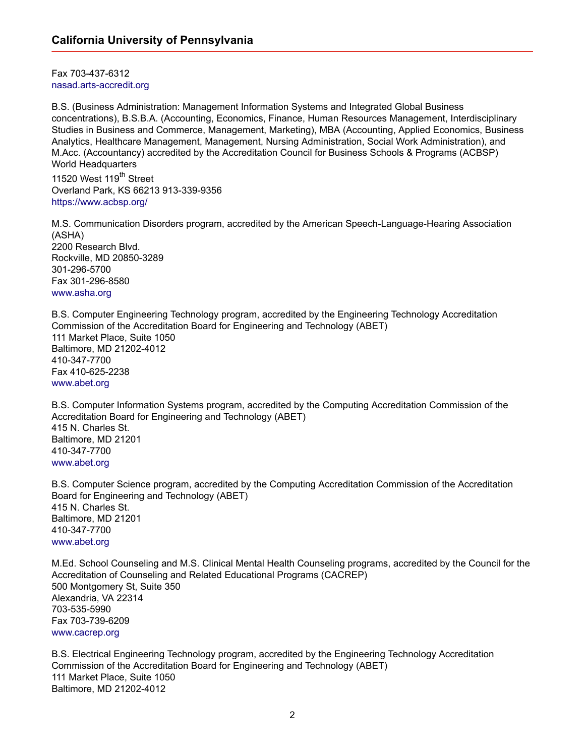Fax 703-437-6312 [nasad.arts-accredit.org](https://nasad.arts-accredit.org/) 

B.S. (Business Administration: Management Information Systems and Integrated Global Business concentrations), B.S.B.A. (Accounting, Economics, Finance, Human Resources Management, Interdisciplinary Studies in Business and Commerce, Management, Marketing), MBA (Accounting, Applied Economics, Business Analytics, Healthcare Management, Management, Nursing Administration, Social Work Administration), and M.Acc. (Accountancy) accredited by the Accreditation Council for Business Schools & Programs (ACBSP) World Headquarters

11520 West 119<sup>th</sup> Street Overland Park, KS 66213 913-339-9356 <https://www.acbsp.org/>

M.S. Communication Disorders program, accredited by the American Speech-Language-Hearing Association (ASHA) 2200 Research Blvd. Rockville, MD 20850-3289 301-296-5700 Fax 301-296-8580 [www.asha.org](http://www.asha.org)

B.S. Computer Engineering Technology program, accredited by the Engineering Technology Accreditation Commission of the Accreditation Board for Engineering and Technology (ABET) 111 Market Place, Suite 1050 Baltimore, MD 21202-4012 410-347-7700 Fax 410-625-2238 [www.abet.org](http://www.abet.org)

B.S. Computer Information Systems program, accredited by the Computing Accreditation Commission of the Accreditation Board for Engineering and Technology (ABET) 415 N. Charles St. Baltimore, MD 21201 410-347-7700 [www.abet.org](http://www.abet.org)

B.S. Computer Science program, accredited by the Computing Accreditation Commission of the Accreditation Board for Engineering and Technology (ABET) 415 N. Charles St. Baltimore, MD 21201 410-347-7700 [www.abet.org](http://www.abet.org)

M.Ed. School Counseling and M.S. Clinical Mental Health Counseling programs, accredited by the Council for the Accreditation of Counseling and Related Educational Programs (CACREP) 500 Montgomery St, Suite 350 Alexandria, VA 22314 703-535-5990 Fax 703-739-6209 [www.cacrep.org](http://www.cacrep.org)

B.S. Electrical Engineering Technology program, accredited by the Engineering Technology Accreditation Commission of the Accreditation Board for Engineering and Technology (ABET) 111 Market Place, Suite 1050 Baltimore, MD 21202-4012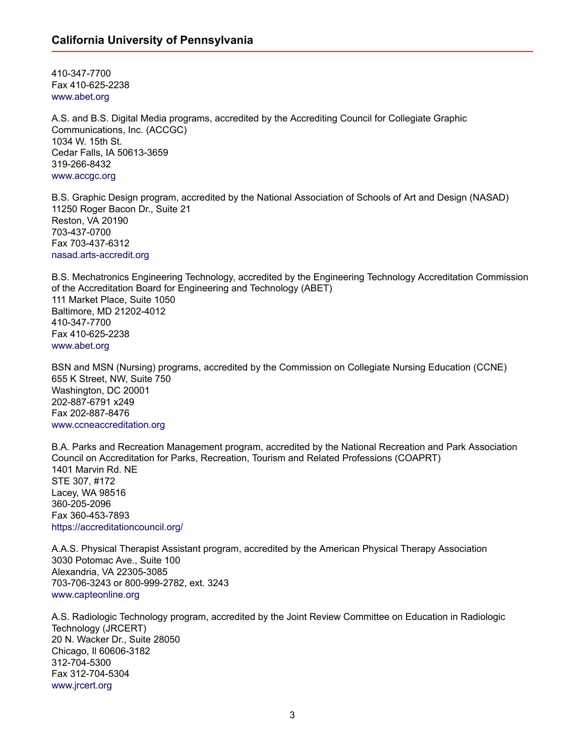410-347-7700 Fax 410-625-2238 [www.abet.org](http://www.abet.org)

A.S. and B.S. Digital Media programs, accredited by the Accrediting Council for Collegiate Graphic Communications, Inc. (ACCGC) 1034 W. 15th St. Cedar Falls, IA 50613-3659 319-266-8432 [www.accgc.org](http://www.accgc.org)

B.S. Graphic Design program, accredited by the National Association of Schools of Art and Design (NASAD) 11250 Roger Bacon Dr., Suite 21 Reston, VA 20190 703-437-0700 Fax 703-437-6312 [nasad.arts-accredit.org](https://nasad.arts-accredit.org/)

B.S. Mechatronics Engineering Technology, accredited by the Engineering Technology Accreditation Commission of the Accreditation Board for Engineering and Technology (ABET) 111 Market Place, Suite 1050 Baltimore, MD 21202-4012 410-347-7700 Fax 410-625-2238 [www.abet.org](http://www.abet.org)

BSN and MSN (Nursing) programs, accredited by the Commission on Collegiate Nursing Education (CCNE) 655 K Street, NW, Suite 750 Washington, DC 20001 202-887-6791 x249 Fax 202-887-8476 [www.ccneaccreditation.org](http://www.ccneaccreditation.org)

B.A. Parks and Recreation Management program, accredited by the National Recreation and Park Association Council on Accreditation for Parks, Recreation, Tourism and Related Professions (COAPRT) 1401 Marvin Rd. NE STE 307, #172 Lacey, WA 98516 360-205-2096 Fax 360-453-7893 [https://accreditationcouncil.org/](https://nam02.safelinks.protection.outlook.com/?url=https%3A%2F%2Faccreditationcouncil.org%2F&data=02%7C01%7Cbartolotta%40calu.edu%7C7be0df2964154d31ccc608d81e933b0f%7C62727258691648be8f9920635977badd%7C0%7C0%7C637292964979316940&sdata=H9klUKeSaH2erGFI4fOJD2gV5fz%2FKGHBPQaFiaExJG0%3D&reserved=0)

A.A.S. Physical Therapist Assistant program, accredited by the American Physical Therapy Association 3030 Potomac Ave., Suite 100 Alexandria, VA 22305-3085 703-706-3243 or 800-999-2782, ext. 3243 [www.capteonline.org](http://www.capteonline.org)

A.S. Radiologic Technology program, accredited by the Joint Review Committee on Education in Radiologic Technology (JRCERT) 20 N. Wacker Dr., Suite 28050 Chicago, Il 60606-3182 312-704-5300 Fax 312-704-5304 [www.jrcert.org](http://www.jrcert.org)